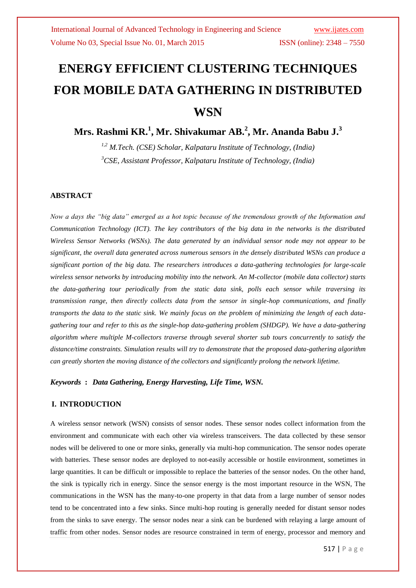# **ENERGY EFFICIENT CLUSTERING TECHNIQUES FOR MOBILE DATA GATHERING IN DISTRIBUTED WSN**

# **Mrs. Rashmi KR.<sup>1</sup> , Mr. Shivakumar AB.<sup>2</sup> , Mr. Ananda Babu J.<sup>3</sup>**

*1,2 M.Tech. (CSE) Scholar, Kalpataru Institute of Technology, (India) <sup>3</sup>CSE, Assistant Professor, Kalpataru Institute of Technology, (India)*

#### **ABSTRACT**

*Now a days the "big data" emerged as a hot topic because of the tremendous growth of the Information and Communication Technology (ICT). The key contributors of the big data in the networks is the distributed Wireless Sensor Networks (WSNs). The data generated by an individual sensor node may not appear to be significant, the overall data generated across numerous sensors in the densely distributed WSNs can produce a significant portion of the big data. The researchers introduces a data-gathering technologies for large-scale wireless sensor networks by introducing mobility into the network. An M-collector (mobile data collector) starts the data-gathering tour periodically from the static data sink, polls each sensor while traversing its transmission range, then directly collects data from the sensor in single-hop communications, and finally transports the data to the static sink. We mainly focus on the problem of minimizing the length of each datagathering tour and refer to this as the single-hop data-gathering problem (SHDGP). We have a data-gathering algorithm where multiple M-collectors traverse through several shorter sub tours concurrently to satisfy the distance/time constraints. Simulation results will try to demonstrate that the proposed data-gathering algorithm can greatly shorten the moving distance of the collectors and significantly prolong the network lifetime.*

*Keywords* **:** *Data Gathering, Energy Harvesting, Life Time, WSN.* 

#### **I. INTRODUCTION**

A wireless sensor network (WSN) consists of sensor nodes. These sensor nodes collect information from the environment and communicate with each other via wireless transceivers. The data collected by these sensor nodes will be delivered to one or more sinks, generally via multi-hop communication. The sensor nodes operate with batteries. These sensor nodes are deployed to not-easily accessible or hostile environment, sometimes in large quantities. It can be difficult or impossible to replace the batteries of the sensor nodes. On the other hand, the sink is typically rich in energy. Since the sensor energy is the most important resource in the WSN, The communications in the WSN has the many-to-one property in that data from a large number of sensor nodes tend to be concentrated into a few sinks. Since multi-hop routing is generally needed for distant sensor nodes from the sinks to save energy. The sensor nodes near a sink can be burdened with relaying a large amount of traffic from other nodes. Sensor nodes are resource constrained in term of energy, processor and memory and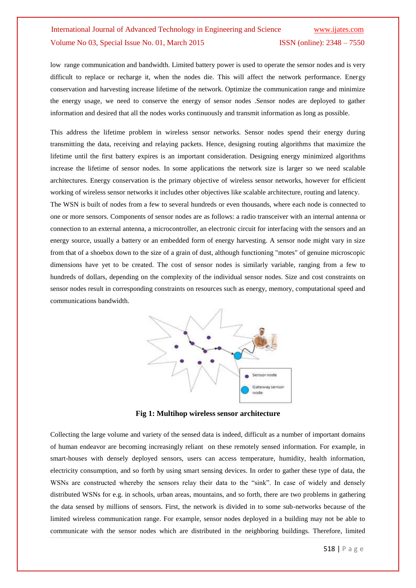low range communication and bandwidth. Limited battery power is used to operate the sensor nodes and is very difficult to replace or recharge it, when the nodes die. This will affect the network performance. Energy conservation and harvesting increase lifetime of the network. Optimize the communication range and minimize the energy usage, we need to conserve the energy of sensor nodes .Sensor nodes are deployed to gather information and desired that all the nodes works continuously and transmit information as long as possible.

This address the lifetime problem in wireless sensor networks. Sensor nodes spend their energy during transmitting the data, receiving and relaying packets. Hence, designing routing algorithms that maximize the lifetime until the first battery expires is an important consideration. Designing energy minimized algorithms increase the lifetime of sensor nodes. In some applications the network size is larger so we need scalable architectures. Energy conservation is the primary objective of wireless sensor networks, however for efficient working of wireless sensor networks it includes other objectives like scalable architecture, routing and latency.

The WSN is built of nodes from a few to several hundreds or even thousands, where each node is connected to one or more sensors. Components of sensor nodes are as follows: a radio transceiver with an internal antenna or connection to an external antenna, a microcontroller, an electronic circuit for interfacing with the sensors and an energy source, usually a battery or an embedded form of energy harvesting. A sensor node might vary in size from that of a shoebox down to the size of a grain of dust, although functioning "motes" of genuine microscopic dimensions have yet to be created. The cost of sensor nodes is similarly variable, ranging from a few to hundreds of dollars, depending on the complexity of the individual sensor nodes. Size and cost constraints on sensor nodes result in corresponding constraints on resources such as energy, memory, computational speed and communications bandwidth.



**Fig 1: Multihop wireless sensor architecture**

Collecting the large volume and variety of the sensed data is indeed, difficult as a number of important domains of human endeavor are becoming increasingly reliant on these remotely sensed information. For example, in smart-houses with densely deployed sensors, users can access temperature, humidity, health information, electricity consumption, and so forth by using smart sensing devices. In order to gather these type of data, the WSNs are constructed whereby the sensors relay their data to the "sink". In case of widely and densely distributed WSNs for e.g. in schools, urban areas, mountains, and so forth, there are two problems in gathering the data sensed by millions of sensors. First, the network is divided in to some sub-networks because of the limited wireless communication range. For example, sensor nodes deployed in a building may not be able to communicate with the sensor nodes which are distributed in the neighboring buildings. Therefore, limited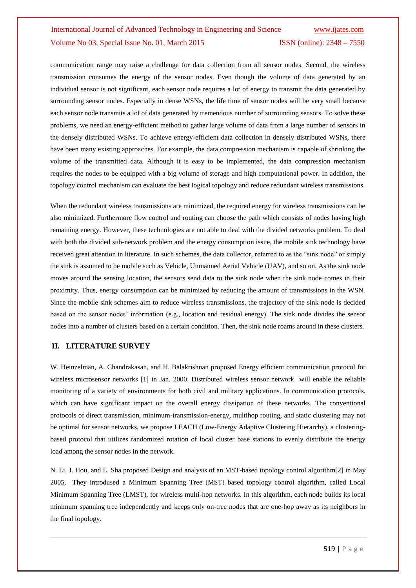communication range may raise a challenge for data collection from all sensor nodes. Second, the wireless transmission consumes the energy of the sensor nodes. Even though the volume of data generated by an individual sensor is not significant, each sensor node requires a lot of energy to transmit the data generated by surrounding sensor nodes. Especially in dense WSNs, the life time of sensor nodes will be very small because each sensor node transmits a lot of data generated by tremendous number of surrounding sensors. To solve these problems, we need an energy-efficient method to gather large volume of data from a large number of sensors in the densely distributed WSNs. To achieve energy-efficient data collection in densely distributed WSNs, there have been many existing approaches. For example, the data compression mechanism is capable of shrinking the volume of the transmitted data. Although it is easy to be implemented, the data compression mechanism requires the nodes to be equipped with a big volume of storage and high computational power. In addition, the topology control mechanism can evaluate the best logical topology and reduce redundant wireless transmissions.

When the redundant wireless transmissions are minimized, the required energy for wireless transmissions can be also minimized. Furthermore flow control and routing can choose the path which consists of nodes having high remaining energy. However, these technologies are not able to deal with the divided networks problem. To deal with both the divided sub-network problem and the energy consumption issue, the mobile sink technology have received great attention in literature. In such schemes, the data collector, referred to as the "sink node" or simply the sink is assumed to be mobile such as Vehicle, Unmanned Aerial Vehicle (UAV), and so on. As the sink node moves around the sensing location, the sensors send data to the sink node when the sink node comes in their proximity. Thus, energy consumption can be minimized by reducing the amount of transmissions in the WSN. Since the mobile sink schemes aim to reduce wireless transmissions, the trajectory of the sink node is decided based on the sensor nodes' information (e.g., location and residual energy). The sink node divides the sensor nodes into a number of clusters based on a certain condition. Then, the sink node roams around in these clusters.

#### **II. LITERATURE SURVEY**

W. Heinzelman, A. Chandrakasan, and H. Balakrishnan proposed Energy efficient communication protocol for wireless microsensor networks [1] in Jan. 2000. Distributed wireless sensor network will enable the reliable monitoring of a variety of environments for both civil and military applications. In communication protocols, which can have significant impact on the overall energy dissipation of these networks. The conventional protocols of direct transmission, minimum-transmission-energy, multihop routing, and static clustering may not be optimal for sensor networks, we propose LEACH (Low-Energy Adaptive Clustering Hierarchy), a clusteringbased protocol that utilizes randomized rotation of local cluster base stations to evenly distribute the energy load among the sensor nodes in the network.

N. Li, J. Hou, and L. Sha proposed Design and analysis of an MST-based topology control algorithm[2] in May 2005, They introdused a Minimum Spanning Tree (MST) based topology control algorithm, called Local Minimum Spanning Tree (LMST), for wireless multi-hop networks. In this algorithm, each node builds its local minimum spanning tree independently and keeps only on-tree nodes that are one-hop away as its neighbors in the final topology.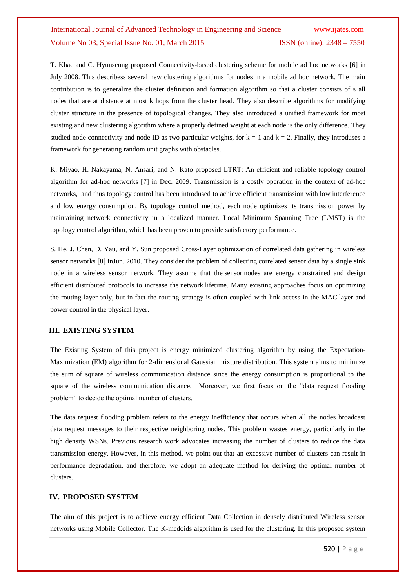T. Khac and C. Hyunseung proposed Connectivity-based clustering scheme for mobile ad hoc networks [6] in July 2008. This describess several new clustering algorithms for nodes in a mobile ad hoc network. The main contribution is to generalize the cluster definition and formation algorithm so that a cluster consists of s all nodes that are at distance at most k hops from the cluster head. They also describe algorithms for modifying cluster structure in the presence of topological changes. They also introduced a unified framework for most existing and new clustering algorithm where a properly defined weight at each node is the only difference. They studied node connectivity and node ID as two particular weights, for  $k = 1$  and  $k = 2$ . Finally, they introduses a framework for generating random unit graphs with obstacles.

K. Miyao, H. Nakayama, N. Ansari, and N. Kato proposed LTRT: An efficient and reliable topology control algorithm for ad-hoc networks [7] in Dec. 2009. Transmission is a costly operation in the context of ad-hoc networks, and thus topology control has been introdused to achieve efficient transmission with low interference and low energy consumption. By topology control method, each node optimizes its transmission power by maintaining network connectivity in a localized manner. Local Minimum Spanning Tree (LMST) is the topology control algorithm, which has been proven to provide satisfactory performance.

S. He, J. Chen, D. Yau, and Y. Sun proposed Cross-Layer optimization of correlated data gathering in wireless sensor networks [8] inJun. 2010. They consider the problem of collecting correlated sensor data by a single sink node in a wireless sensor network. They assume that the sensor nodes are energy constrained and design efficient distributed protocols to increase the network lifetime. Many existing approaches focus on optimizing the routing layer only, but in fact the routing strategy is often coupled with link access in the MAC layer and power control in the physical layer.

#### **III. EXISTING SYSTEM**

The Existing System of this project is energy minimized clustering algorithm by using the Expectation-Maximization (EM) algorithm for 2-dimensional Gaussian mixture distribution. This system aims to minimize the sum of square of wireless communication distance since the energy consumption is proportional to the square of the wireless communication distance. Moreover, we first focus on the "data request flooding problem" to decide the optimal number of clusters.

The data request flooding problem refers to the energy inefficiency that occurs when all the nodes broadcast data request messages to their respective neighboring nodes. This problem wastes energy, particularly in the high density WSNs. Previous research work advocates increasing the number of clusters to reduce the data transmission energy. However, in this method, we point out that an excessive number of clusters can result in performance degradation, and therefore, we adopt an adequate method for deriving the optimal number of clusters.

### **IV. PROPOSED SYSTEM**

The aim of this project is to achieve energy efficient Data Collection in densely distributed Wireless sensor networks using Mobile Collector. The K-medoids algorithm is used for the clustering. In this proposed system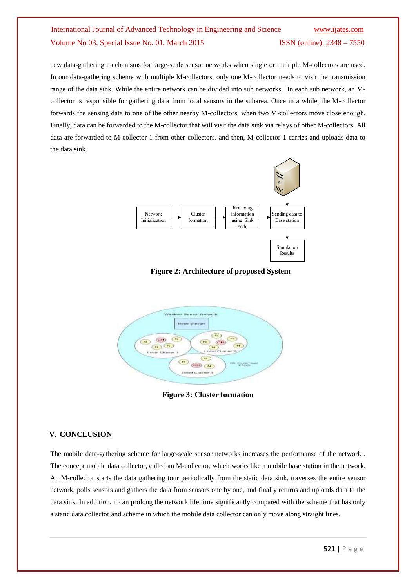new data-gathering mechanisms for large-scale sensor networks when single or multiple M-collectors are used. In our data-gathering scheme with multiple M-collectors, only one M-collector needs to visit the transmission range of the data sink. While the entire network can be divided into sub networks. In each sub network, an Mcollector is responsible for gathering data from local sensors in the subarea. Once in a while, the M-collector forwards the sensing data to one of the other nearby M-collectors, when two M-collectors move close enough. Finally, data can be forwarded to the M-collector that will visit the data sink via relays of other M-collectors. All data are forwarded to M-collector 1 from other collectors, and then, M-collector 1 carries and uploads data to the data sink.



**Figure 2: Architecture of proposed System**



**Figure 3: Cluster formation**

### **V. CONCLUSION**

The mobile data-gathering scheme for large-scale sensor networks increases the performanse of the network . The concept mobile data collector, called an M-collector, which works like a mobile base station in the network. An M-collector starts the data gathering tour periodically from the static data sink, traverses the entire sensor network, polls sensors and gathers the data from sensors one by one, and finally returns and uploads data to the data sink. In addition, it can prolong the network life time significantly compared with the scheme that has only a static data collector and scheme in which the mobile data collector can only move along straight lines.